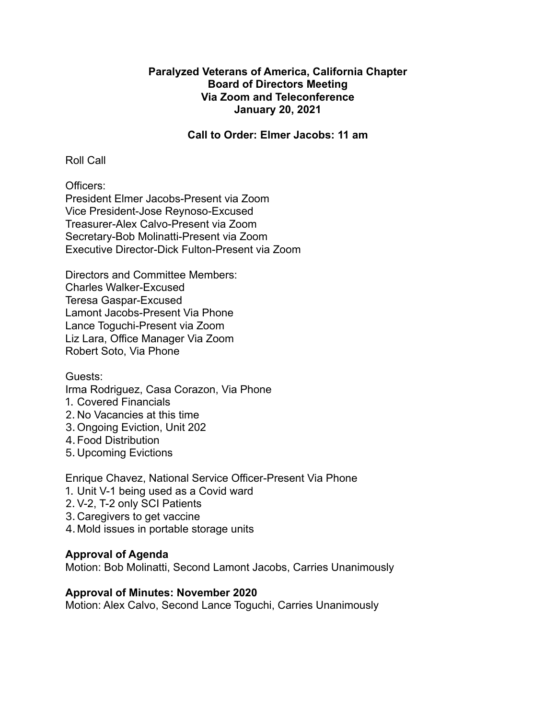## **Paralyzed Veterans of America, California Chapter Board of Directors Meeting Via Zoom and Teleconference January 20, 2021**

#### **Call to Order: Elmer Jacobs: 11 am**

Roll Call

Officers: President Elmer Jacobs-Present via Zoom Vice President-Jose Reynoso-Excused Treasurer-Alex Calvo-Present via Zoom Secretary-Bob Molinatti-Present via Zoom Executive Director-Dick Fulton-Present via Zoom

Directors and Committee Members: Charles Walker-Excused Teresa Gaspar-Excused Lamont Jacobs-Present Via Phone Lance Toguchi-Present via Zoom Liz Lara, Office Manager Via Zoom Robert Soto, Via Phone

## Guests:

Irma Rodriguez, Casa Corazon, Via Phone

- 1. Covered Financials
- 2. No Vacancies at this time
- 3. Ongoing Eviction, Unit 202
- 4.Food Distribution
- 5. Upcoming Evictions

Enrique Chavez, National Service Officer-Present Via Phone

- 1. Unit V-1 being used as a Covid ward
- 2. V-2, T-2 only SCI Patients
- 3. Caregivers to get vaccine
- 4. Mold issues in portable storage units

## **Approval of Agenda**

Motion: Bob Molinatti, Second Lamont Jacobs, Carries Unanimously

#### **Approval of Minutes: November 2020**

Motion: Alex Calvo, Second Lance Toguchi, Carries Unanimously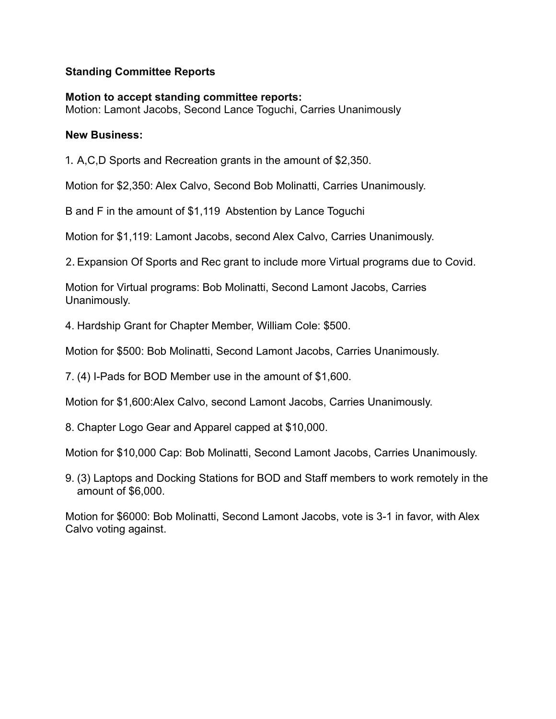## **Standing Committee Reports**

#### **Motion to accept standing committee reports:** Motion: Lamont Jacobs, Second Lance Toguchi, Carries Unanimously

## **New Business:**

1. A,C,D Sports and Recreation grants in the amount of \$2,350.

Motion for \$2,350: Alex Calvo, Second Bob Molinatti, Carries Unanimously.

B and F in the amount of \$1,119 Abstention by Lance Toguchi

Motion for \$1,119: Lamont Jacobs, second Alex Calvo, Carries Unanimously.

2. Expansion Of Sports and Rec grant to include more Virtual programs due to Covid.

Motion for Virtual programs: Bob Molinatti, Second Lamont Jacobs, Carries Unanimously.

4. Hardship Grant for Chapter Member, William Cole: \$500.

Motion for \$500: Bob Molinatti, Second Lamont Jacobs, Carries Unanimously.

7. (4) I-Pads for BOD Member use in the amount of \$1,600.

Motion for \$1,600:Alex Calvo, second Lamont Jacobs, Carries Unanimously.

8. Chapter Logo Gear and Apparel capped at \$10,000.

Motion for \$10,000 Cap: Bob Molinatti, Second Lamont Jacobs, Carries Unanimously.

9. (3) Laptops and Docking Stations for BOD and Staff members to work remotely in the amount of \$6,000.

Motion for \$6000: Bob Molinatti, Second Lamont Jacobs, vote is 3-1 in favor, with Alex Calvo voting against.